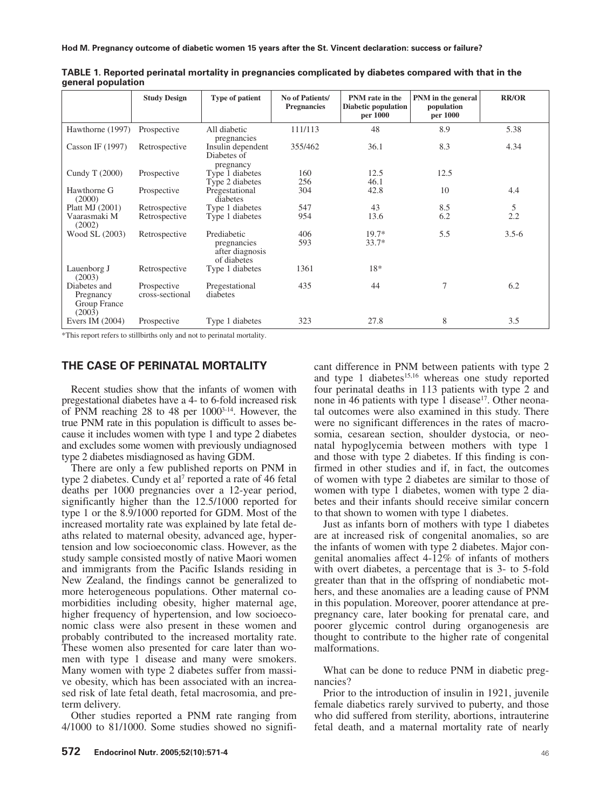|                                                     | <b>Study Design</b>            | Type of patient                                              | No of Patients/<br><b>Pregnancies</b> | PNM rate in the<br><b>Diabetic population</b><br>per 1000 | PNM in the general<br>population<br>per 1000 | <b>RR/OR</b> |
|-----------------------------------------------------|--------------------------------|--------------------------------------------------------------|---------------------------------------|-----------------------------------------------------------|----------------------------------------------|--------------|
| Hawthorne (1997)                                    | Prospective                    | All diabetic<br>pregnancies                                  | 111/113                               | 48                                                        | 8.9                                          | 5.38         |
| Casson IF $(1997)$                                  | Retrospective                  | Insulin dependent<br>Diabetes of<br>pregnancy                | 355/462                               | 36.1                                                      | 8.3                                          | 4.34         |
| Cundy T (2000)                                      | Prospective                    | Type 1 diabetes<br>Type 2 diabetes                           | 160<br>256                            | 12.5<br>46.1                                              | 12.5                                         |              |
| Hawthorne G<br>(2000)                               | Prospective                    | Pregestational<br>diabetes                                   | 304                                   | 42.8                                                      | 10                                           | 4.4          |
| Platt MJ (2001)                                     | Retrospective                  | Type 1 diabetes                                              | 547                                   | 43                                                        | 8.5                                          | 5            |
| Vaarasmaki M<br>(2002)                              | Retrospective                  | Type 1 diabetes                                              | 954                                   | 13.6                                                      | 6.2                                          | 2.2          |
| Wood SL (2003)                                      | Retrospective                  | Prediabetic<br>pregnancies<br>after diagnosis<br>of diabetes | 406<br>593                            | $19.7*$<br>$33.7*$                                        | 5.5                                          | $3.5 - 6$    |
| Lauenborg J<br>(2003)                               | Retrospective                  | Type 1 diabetes                                              | 1361                                  | 18*                                                       |                                              |              |
| Diabetes and<br>Pregnancy<br>Group France<br>(2003) | Prospective<br>cross-sectional | Pregestational<br>diabetes                                   | 435                                   | 44                                                        | 7                                            | 6.2          |
| Evers IM $(2004)$                                   | Prospective                    | Type 1 diabetes                                              | 323                                   | 27.8                                                      | 8                                            | 3.5          |

**TABLE 1. Reported perinatal mortality in pregnancies complicated by diabetes compared with that in the general population**

\*This report refers to stillbirths only and not to perinatal mortality.

## **THE CASE OF PERINATAL MORTALITY**

Recent studies show that the infants of women with pregestational diabetes have a 4- to 6-fold increased risk of PNM reaching 28 to 48 per 10003-14. However, the true PNM rate in this population is difficult to asses because it includes women with type 1 and type 2 diabetes and excludes some women with previously undiagnosed type 2 diabetes misdiagnosed as having GDM.

There are only a few published reports on PNM in type 2 diabetes. Cundy et al<sup>7</sup> reported a rate of 46 fetal deaths per 1000 pregnancies over a 12-year period, significantly higher than the 12.5/1000 reported for type 1 or the 8.9/1000 reported for GDM. Most of the increased mortality rate was explained by late fetal deaths related to maternal obesity, advanced age, hypertension and low socioeconomic class. However, as the study sample consisted mostly of native Maori women and immigrants from the Pacific Islands residing in New Zealand, the findings cannot be generalized to more heterogeneous populations. Other maternal comorbidities including obesity, higher maternal age, higher frequency of hypertension, and low socioeconomic class were also present in these women and probably contributed to the increased mortality rate. These women also presented for care later than women with type 1 disease and many were smokers. Many women with type 2 diabetes suffer from massive obesity, which has been associated with an increased risk of late fetal death, fetal macrosomia, and preterm delivery.

Other studies reported a PNM rate ranging from 4/1000 to 81/1000. Some studies showed no signifi-

cant difference in PNM between patients with type 2 and type 1 diabetes $15,16}$  whereas one study reported four perinatal deaths in 113 patients with type 2 and none in 46 patients with type 1 disease<sup>17</sup>. Other neonatal outcomes were also examined in this study. There were no significant differences in the rates of macrosomia, cesarean section, shoulder dystocia, or neonatal hypoglycemia between mothers with type 1 and those with type 2 diabetes. If this finding is confirmed in other studies and if, in fact, the outcomes of women with type 2 diabetes are similar to those of women with type 1 diabetes, women with type 2 diabetes and their infants should receive similar concern to that shown to women with type 1 diabetes.

Just as infants born of mothers with type 1 diabetes are at increased risk of congenital anomalies, so are the infants of women with type 2 diabetes. Major congenital anomalies affect 4-12% of infants of mothers with overt diabetes, a percentage that is 3- to 5-fold greater than that in the offspring of nondiabetic mothers, and these anomalies are a leading cause of PNM in this population. Moreover, poorer attendance at prepregnancy care, later booking for prenatal care, and poorer glycemic control during organogenesis are thought to contribute to the higher rate of congenital malformations.

What can be done to reduce PNM in diabetic pregnancies?

Prior to the introduction of insulin in 1921, juvenile female diabetics rarely survived to puberty, and those who did suffered from sterility, abortions, intrauterine fetal death, and a maternal mortality rate of nearly